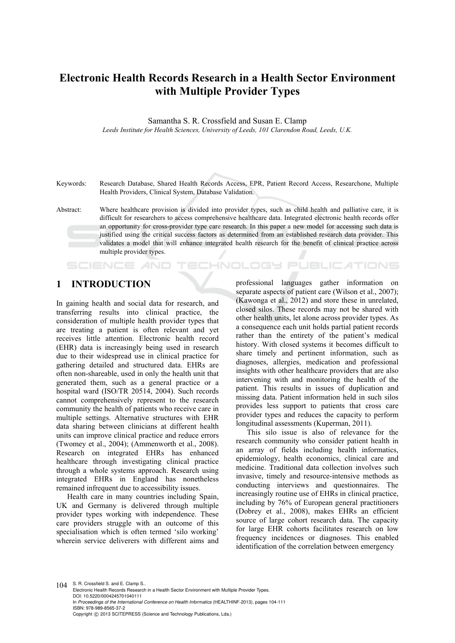# **Electronic Health Records Research in a Health Sector Environment with Multiple Provider Types**

Samantha S. R. Crossfield and Susan E. Clamp *Leeds Institute for Health Sciences, University of Leeds, 101 Clarendon Road, Leeds, U.K.* 

Keywords: Research Database, Shared Health Records Access, EPR, Patient Record Access, Researchone, Multiple Health Providers, Clinical System, Database Validation.

Abstract: Where healthcare provision is divided into provider types, such as child health and palliative care, it is difficult for researchers to access comprehensive healthcare data. Integrated electronic health records offer an opportunity for cross-provider type care research. In this paper a new model for accessing such data is justified using the critical success factors as determined from an established research data provider. This validates a model that will enhance integrated health research for the benefit of clinical practice across multiple provider types.

IHNOLOGY

#### **1 INTRODUCTION**

**SCIENCE AND** 

In gaining health and social data for research, and transferring results into clinical practice, the consideration of multiple health provider types that are treating a patient is often relevant and yet receives little attention. Electronic health record (EHR) data is increasingly being used in research due to their widespread use in clinical practice for gathering detailed and structured data. EHRs are often non-shareable, used in only the health unit that generated them, such as a general practice or a hospital ward (ISO/TR 20514, 2004). Such records cannot comprehensively represent to the research community the health of patients who receive care in multiple settings. Alternative structures with EHR data sharing between clinicians at different health units can improve clinical practice and reduce errors (Twomey et al., 2004); (Ammenworth et al., 2008). Research on integrated EHRs has enhanced healthcare through investigating clinical practice through a whole systems approach. Research using integrated EHRs in England has nonetheless remained infrequent due to accessibility issues.

Health care in many countries including Spain, UK and Germany is delivered through multiple provider types working with independence. These care providers struggle with an outcome of this specialisation which is often termed 'silo working' wherein service deliverers with different aims and

professional languages gather information on separate aspects of patient care (Wilson et al., 2007); (Kawonga et al., 2012) and store these in unrelated, closed silos. These records may not be shared with other health units, let alone across provider types. As a consequence each unit holds partial patient records rather than the entirety of the patient's medical history. With closed systems it becomes difficult to share timely and pertinent information, such as diagnoses, allergies, medication and professional insights with other healthcare providers that are also intervening with and monitoring the health of the patient. This results in issues of duplication and missing data. Patient information held in such silos provides less support to patients that cross care provider types and reduces the capacity to perform longitudinal assessments (Kuperman, 2011).

PUBLIC ATIONS

This silo issue is also of relevance for the research community who consider patient health in an array of fields including health informatics, epidemiology, health economics, clinical care and medicine. Traditional data collection involves such invasive, timely and resource-intensive methods as conducting interviews and questionnaires. The increasingly routine use of EHRs in clinical practice, including by 76% of European general practitioners (Dobrey et al., 2008), makes EHRs an efficient source of large cohort research data. The capacity for large EHR cohorts facilitates research on low frequency incidences or diagnoses. This enabled identification of the correlation between emergency

104 S. R. Crossfield S. and E. Clamp S. Electronic Health Records Research in a Health Sector Environment with Multiple Provider Types. DOI: 10.5220/0004245701040111 In *Proceedings of the International Conference on Health Informatics* (HEALTHINF-2013), pages 104-111 ISBN: 978-989-8565-37-2 Copyright © 2013 SCITEPRESS (Science and Technology Publications, Lda.)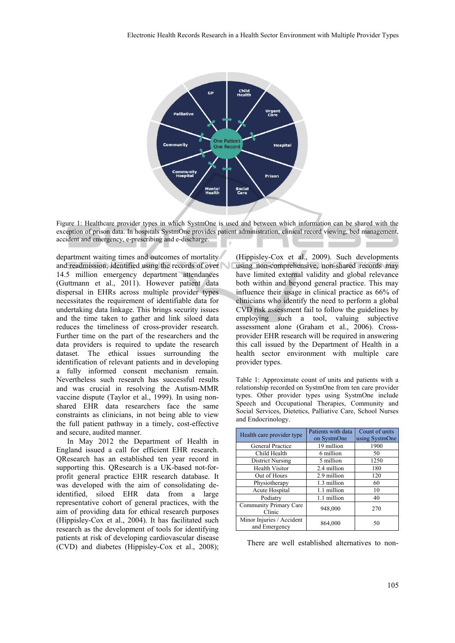

Figure 1: Healthcare provider types in which SystmOne is used and between which information can be shared with the exception of prison data. In hospitals SystmOne provides patient administration, clinical record viewing, bed management, accident and emergency, e-prescribing and e-discharge.

department waiting times and outcomes of mortality and readmission, identified using the records of over 14.5 million emergency department attendances (Guttmann et al., 2011). However patient data dispersal in EHRs across multiple provider types necessitates the requirement of identifiable data for undertaking data linkage. This brings security issues and the time taken to gather and link siloed data reduces the timeliness of cross-provider research. Further time on the part of the researchers and the data providers is required to update the research dataset. The ethical issues surrounding the identification of relevant patients and in developing a fully informed consent mechanism remain. Nevertheless such research has successful results and was crucial in resolving the Autism-MMR vaccine dispute (Taylor et al., 1999). In using nonshared EHR data researchers face the same constraints as clinicians, in not being able to view the full patient pathway in a timely, cost-effective and secure, audited manner.

In May 2012 the Department of Health in England issued a call for efficient EHR research. QResearch has an established ten year record in supporting this. QResearch is a UK-based not-forprofit general practice EHR research database. It was developed with the aim of consolidating deidentified, siloed EHR data from a large representative cohort of general practices, with the aim of providing data for ethical research purposes (Hippisley-Cox et al., 2004). It has facilitated such research as the development of tools for identifying patients at risk of developing cardiovascular disease (CVD) and diabetes (Hippisley-Cox et al., 2008);

(Hippisley-Cox et al., 2009). Such developments using non-comprehensive, non-shared records may have limited external validity and global relevance both within and beyond general practice. This may influence their usage in clinical practice as 66% of clinicians who identify the need to perform a global CVD risk assessment fail to follow the guidelines by employing such a tool, valuing subjective assessment alone (Graham et al., 2006). Crossprovider EHR research will be required in answering this call issued by the Department of Health in a health sector environment with multiple care provider types.

Table 1: Approximate count of units and patients with a relationship recorded on SystmOne from ten care provider types. Other provider types using SystmOne include Speech and Occupational Therapies, Community and Social Services, Dietetics, Palliative Care, School Nurses and Endocrinology.

| Health care provider type                  | Patients with data<br>on SystmOne | Count of units<br>using SystmOne |
|--------------------------------------------|-----------------------------------|----------------------------------|
| General Practice                           | 19 million                        | 1900                             |
| Child Health                               | 6 million                         | 50                               |
| <b>District Nursing</b>                    | 5 million                         | 1250                             |
| <b>Health Visitor</b>                      | 2.4 million                       | 180                              |
| Out of Hours                               | 2.9 million                       | 120                              |
| Physiotherapy                              | 1.3 million                       | 60                               |
| Acute Hospital                             | 1.1 million                       | 10                               |
| Podiatry                                   | 1.1 million                       | 40                               |
| Community Primary Care<br>Clinic           | 948,000                           | 270                              |
| Minor Injuries / Accident<br>and Emergency | 864,000                           | 50                               |

There are well established alternatives to non-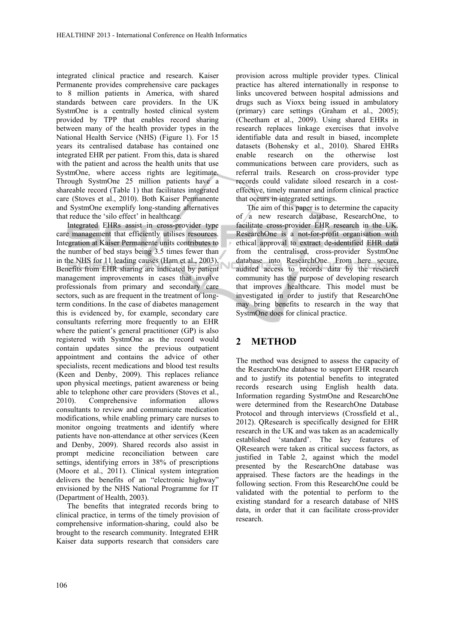integrated clinical practice and research. Kaiser Permanente provides comprehensive care packages to 8 million patients in America, with shared standards between care providers. In the UK SystmOne is a centrally hosted clinical system provided by TPP that enables record sharing between many of the health provider types in the National Health Service (NHS) (Figure 1). For 15 years its centralised database has contained one integrated EHR per patient. From this, data is shared with the patient and across the health units that use SystmOne, where access rights are legitimate. Through SystmOne 25 million patients have a shareable record (Table 1) that facilitates integrated care (Stoves et al., 2010). Both Kaiser Permanente and SystmOne exemplify long-standing alternatives that reduce the 'silo effect' in healthcare.

Integrated EHRs assist in cross-provider type care management that efficiently utilises resources. Integration at Kaiser Permanente units contributes to the number of bed stays being 3.5 times fewer than in the NHS for 11 leading causes (Ham et al., 2003). Benefits from EHR sharing are indicated by patient management improvements in cases that involve professionals from primary and secondary care sectors, such as are frequent in the treatment of longterm conditions. In the case of diabetes management this is evidenced by, for example, secondary care consultants referring more frequently to an EHR where the patient's general practitioner (GP) is also registered with SystmOne as the record would contain updates since the previous outpatient appointment and contains the advice of other specialists, recent medications and blood test results (Keen and Denby, 2009). This replaces reliance upon physical meetings, patient awareness or being able to telephone other care providers (Stoves et al., 2010). Comprehensive information allows consultants to review and communicate medication modifications, while enabling primary care nurses to monitor ongoing treatments and identify where patients have non-attendance at other services (Keen and Denby, 2009). Shared records also assist in prompt medicine reconciliation between care settings, identifying errors in 38% of prescriptions (Moore et al., 2011). Clinical system integration delivers the benefits of an "electronic highway" envisioned by the NHS National Programme for IT (Department of Health, 2003).

The benefits that integrated records bring to clinical practice, in terms of the timely provision of comprehensive information-sharing, could also be brought to the research community. Integrated EHR Kaiser data supports research that considers care

provision across multiple provider types. Clinical practice has altered internationally in response to links uncovered between hospital admissions and drugs such as Vioxx being issued in ambulatory (primary) care settings (Graham et al., 2005); (Cheetham et al., 2009). Using shared EHRs in research replaces linkage exercises that involve identifiable data and result in biased, incomplete datasets (Bohensky et al., 2010). Shared EHRs enable research on the otherwise lost communications between care providers, such as referral trails. Research on cross-provider type records could validate siloed research in a costeffective, timely manner and inform clinical practice that occurs in integrated settings.

The aim of this paper is to determine the capacity of a new research database, ResearchOne, to facilitate cross-provider EHR research in the UK. ResearchOne is a not-for-profit organisation with ethical approval to extract de-identified EHR data from the centralised, cross-provider SystmOne database into ResearchOne. From here secure, audited access to records data by the research community has the purpose of developing research that improves healthcare. This model must be investigated in order to justify that ResearchOne may bring benefits to research in the way that SystmOne does for clinical practice.

# **2 METHOD**

The method was designed to assess the capacity of the ResearchOne database to support EHR research and to justify its potential benefits to integrated records research using English health data. Information regarding SystmOne and ResearchOne were determined from the ResearchOne Database Protocol and through interviews (Crossfield et al., 2012). QResearch is specifically designed for EHR research in the UK and was taken as an academically established 'standard'. The key features of QResearch were taken as critical success factors, as justified in Table 2, against which the model presented by the ResearchOne database was appraised. These factors are the headings in the following section. From this ResearchOne could be validated with the potential to perform to the existing standard for a research database of NHS data, in order that it can facilitate cross-provider research.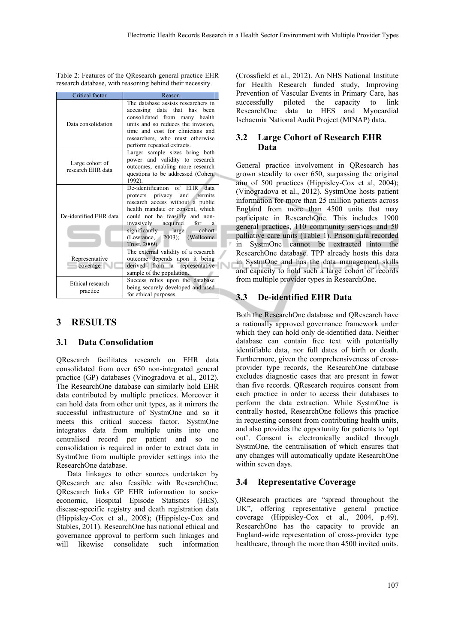Table 2: Features of the QResearch general practice EHR research database, with reasoning behind their necessity.

| Critical factor                      | Reason                                                                                                                                                                                                                                                                                         |
|--------------------------------------|------------------------------------------------------------------------------------------------------------------------------------------------------------------------------------------------------------------------------------------------------------------------------------------------|
| Data consolidation                   | The database assists researchers in<br>accessing data that has<br>been<br>consolidated from many health<br>units and so reduces the invasion.<br>time and cost for clinicians and<br>researchers, who must otherwise<br>perform repeated extracts.                                             |
| Large cohort of<br>research EHR data | Larger sample sizes bring both<br>power and validity to research<br>outcomes, enabling more research<br>questions to be addressed (Cohen,<br>1992).                                                                                                                                            |
| De-identified EHR data               | De-identification of EHR<br>data<br>protects privacy and permits<br>research access without a public<br>health mandate or consent, which<br>could not be feasibly and non-<br>invasively acquired<br>for<br>a<br>significantly large<br>cohort<br>(Lowrance, 2003); (Wellcome<br>Trust, 2009). |
| Representative<br>coverage           | The external validity of a research<br>outcome depends upon it being<br>derived from a representative<br>sample of the population.                                                                                                                                                             |
| Ethical research<br>practice         | Success relies upon the database<br>being securely developed and used<br>for ethical purposes.                                                                                                                                                                                                 |

# **3 RESULTS**

### **3.1 Data Consolidation**

QResearch facilitates research on EHR data consolidated from over 650 non-integrated general practice (GP) databases (Vinogradova et al., 2012). The ResearchOne database can similarly hold EHR data contributed by multiple practices. Moreover it can hold data from other unit types, as it mirrors the successful infrastructure of SystmOne and so it meets this critical success factor. SystmOne integrates data from multiple units into one centralised record per patient and so no consolidation is required in order to extract data in SystmOne from multiple provider settings into the ResearchOne database.

Data linkages to other sources undertaken by QResearch are also feasible with ResearchOne. QResearch links GP EHR information to socioeconomic, Hospital Episode Statistics (HES), disease-specific registry and death registration data (Hippisley-Cox et al., 2008); (Hippisley-Cox and Stables, 2011). ResearchOne has national ethical and governance approval to perform such linkages and will likewise consolidate such information

(Crossfield et al., 2012). An NHS National Institute for Health Research funded study, Improving Prevention of Vascular Events in Primary Care, has successfully piloted the capacity to link ResearchOne data to HES and Myocardial Ischaemia National Audit Project (MINAP) data.

### **3.2 Large Cohort of Research EHR Data**

General practice involvement in QResearch has grown steadily to over 650, surpassing the original aim of 500 practices (Hippisley-Cox et al, 2004); (Vinogradova et al., 2012). SystmOne hosts patient information for more than 25 million patients across England from more than 4500 units that may participate in ResearchOne. This includes 1900 general practices, 110 community services and 50 palliative care units (Table 1). Prison data recorded in SystmOne cannot be extracted into the ResearchOne database. TPP already hosts this data in SystmOne and has the data management skills and capacity to hold such a large cohort of records from multiple provider types in ResearchOne.

# **3.3 De-identified EHR Data**

Both the ResearchOne database and QResearch have a nationally approved governance framework under which they can hold only de-identified data. Neither database can contain free text with potentially identifiable data, nor full dates of birth or death. Furthermore, given the comprehensiveness of crossprovider type records, the ResearchOne database excludes diagnostic cases that are present in fewer than five records. QResearch requires consent from each practice in order to access their databases to perform the data extraction. While SystmOne is centrally hosted, ResearchOne follows this practice in requesting consent from contributing health units, and also provides the opportunity for patients to 'opt out'. Consent is electronically audited through SystmOne, the centralisation of which ensures that any changes will automatically update ResearchOne within seven days.

### **3.4 Representative Coverage**

QResearch practices are "spread throughout the UK", offering representative general practice coverage (Hippisley-Cox et al., 2004, p.49). ResearchOne has the capacity to provide an England-wide representation of cross-provider type healthcare, through the more than 4500 invited units.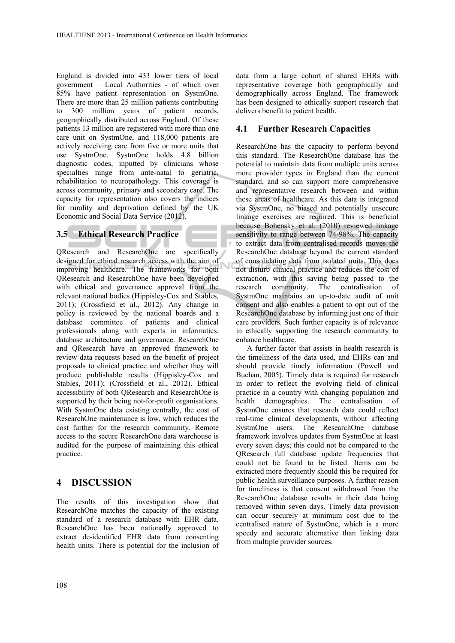England is divided into 433 lower tiers of local government – Local Authorities - of which over 85% have patient representation on SystmOne. There are more than 25 million patients contributing to 300 million years of patient records, geographically distributed across England. Of these patients 13 million are registered with more than one care unit on SystmOne, and 118,000 patients are actively receiving care from five or more units that use SystmOne. SystmOne holds 4.8 billion diagnostic codes, inputted by clinicians whose specialties range from ante-natal to geriatric, rehabilitation to neuropathology. This coverage is across community, primary and secondary care. The capacity for representation also covers the indices for rurality and deprivation defined by the UK Economic and Social Data Service (2012).

# **3.5 Ethical Research Practice**

QResearch and ResearchOne are specifically designed for ethical research access with the aim of Ñ improving healthcare. The frameworks for both QResearch and ResearchOne have been developed with ethical and governance approval from the relevant national bodies (Hippisley-Cox and Stables, 2011); (Crossfield et al., 2012). Any change in policy is reviewed by the national boards and a database committee of patients and clinical professionals along with experts in informatics, database architecture and governance. ResearchOne and QResearch have an approved framework to review data requests based on the benefit of project proposals to clinical practice and whether they will produce publishable results (Hippisley-Cox and Stables, 2011); (Crossfield et al., 2012). Ethical accessibility of both QResearch and ResearchOne is supported by their being not-for-profit organisations. With SystmOne data existing centrally, the cost of ResearchOne maintenance is low, which reduces the cost further for the research community. Remote access to the secure ResearchOne data warehouse is audited for the purpose of maintaining this ethical practice.

# **4 DISCUSSION**

The results of this investigation show that ResearchOne matches the capacity of the existing standard of a research database with EHR data. ResearchOne has been nationally approved to extract de-identified EHR data from consenting health units. There is potential for the inclusion of data from a large cohort of shared EHRs with representative coverage both geographically and demographically across England. The framework has been designed to ethically support research that delivers benefit to patient health.

### **4.1 Further Research Capacities**

ResearchOne has the capacity to perform beyond this standard. The ResearchOne database has the potential to maintain data from multiple units across more provider types in England than the current standard, and so can support more comprehensive and representative research between and within these areas of healthcare. As this data is integrated via SystmOne, no biased and potentially unsecure linkage exercises are required. This is beneficial because Bohensky et al. (2010) reviewed linkage sensitivity to range between 74-98%. The capacity to extract data from centralised records moves the ResearchOne database beyond the current standard of consolidating data from isolated units. This does not disturb clinical practice and reduces the cost of extraction, with this saving being passed to the research community. The centralisation of SystmOne maintains an up-to-date audit of unit consent and also enables a patient to opt out of the ResearchOne database by informing just one of their care providers. Such further capacity is of relevance in ethically supporting the research community to enhance healthcare.

A further factor that assists in health research is the timeliness of the data used, and EHRs can and should provide timely information (Powell and Buchan, 2005). Timely data is required for research in order to reflect the evolving field of clinical practice in a country with changing population and health demographics. The centralisation of SystmOne ensures that research data could reflect real-time clinical developments, without affecting SystmOne users. The ResearchOne database framework involves updates from SystmOne at least every seven days; this could not be compared to the QResearch full database update frequencies that could not be found to be listed. Items can be extracted more frequently should this be required for public health surveillance purposes. A further reason for timeliness is that consent withdrawal from the ResearchOne database results in their data being removed within seven days. Timely data provision can occur securely at minimum cost due to the centralised nature of SystmOne, which is a more speedy and accurate alternative than linking data from multiple provider sources.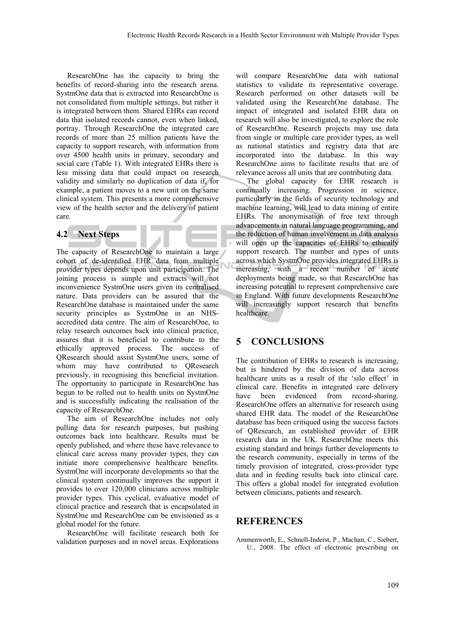ResearchOne has the capacity to bring the benefits of record-sharing into the research arena. SystmOne data that is extracted into ResearchOne is not consolidated from multiple settings, but rather it is integrated between them. Shared EHRs can record data that isolated records cannot, even when linked, portray. Through ResearchOne the integrated care records of more than 25 million patients have the capacity to support research, with information from over 4500 health units in primary, secondary and social care (Table 1). With integrated EHRs there is less missing data that could impact on research validity and similarly no duplication of data if, for example, a patient moves to a new unit on the same clinical system. This presents a more comprehensive view of the health sector and the delivery of patient care.

#### **4.2 Next Steps**

The capacity of ResearchOne to maintain a large cohort of de-identified EHR data from multiple provider types depends upon unit participation. The joining process is simple and extracts will not inconvenience SystmOne users given its centralised nature. Data providers can be assured that the ResearchOne database is maintained under the same security principles as SystmOne in an NHSaccredited data centre. The aim of ResearchOne, to relay research outcomes back into clinical practice, assures that it is beneficial to contribute to the ethically approved process. The success of QResearch should assist SystmOne users, some of whom may have contributed to QResearch previously, in recognising this beneficial invitation. The opportunity to participate in ResearchOne has begun to be rolled out to health units on SystmOne and is successfully indicating the realisation of the capacity of ResearchOne.

The aim of ResearchOne includes not only pulling data for research purposes, but pushing outcomes back into healthcare. Results must be openly published, and where these have relevance to clinical care across many provider types, they can initiate more comprehensive healthcare benefits. SystmOne will incorporate developments so that the clinical system continually improves the support it provides to over 120,000 clinicians across multiple provider types. This cyclical, evaluative model of clinical practice and research that is encapsulated in SystmOne and ResearchOne can be envisioned as a global model for the future.

ResearchOne will facilitate research both for validation purposes and in novel areas. Explorations will compare ResearchOne data with national statistics to validate its representative coverage. Research performed on other datasets will be validated using the ResearchOne database. The impact of integrated and isolated EHR data on research will also be investigated, to explore the role of ResearchOne. Research projects may use data from single or multiple care provider types, as well as national statistics and registry data that are incorporated into the database. In this way ResearchOne aims to facilitate results that are of relevance across all units that are contributing data.

The global capacity for EHR research is continually increasing. Progression in science, particularly in the fields of security technology and machine learning, will lead to data mining of entire EHRs. The anonymisation of free text through advancements in natural language programming, and the reduction of human involvement in data analysis will open up the capacities of EHRs to ethically support research. The number and types of units across which SystmOne provides integrated EHRs is increasing, with a recent number of acute deployments being made, so that ResearchOne has increasing potential to represent comprehensive care in England. With future developments ResearchOne will increasingly support research that benefits healthcare.

# **5 CONCLUSIONS**

The contribution of EHRs to research is increasing, but is hindered by the division of data across healthcare units as a result of the 'silo effect' in clinical care. Benefits in integrated care delivery have been evidenced from record-sharing. ResearchOne offers an alternative for research using shared EHR data. The model of the ResearchOne database has been critiqued using the success factors of QResearch, an established provider of EHR research data in the UK. ResearchOne meets this existing standard and brings further developments to the research community, especially in terms of the timely provision of integrated, cross-provider type data and in feeding results back into clinical care. This offers a global model for integrated evolution between clinicians, patients and research.

#### **REFERENCES**

Ammenworth, E., Schnell-Inderst, P., Machan, C., Siebert, U., 2008. The effect of electronic prescribing on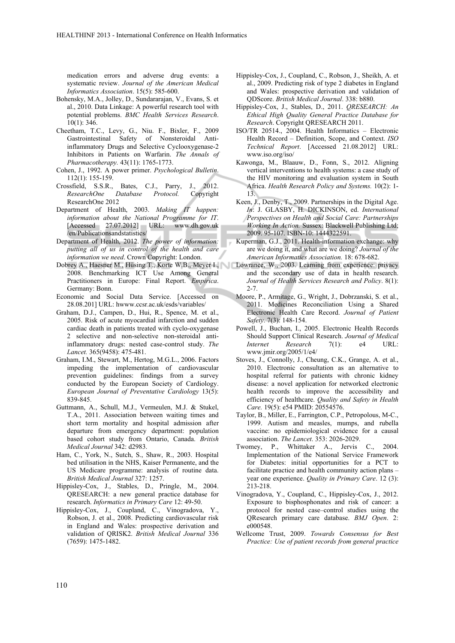medication errors and adverse drug events: a systematic review. *Journal of the American Medical Informatics Association*. 15(5): 585-600.

- Bohensky, M.A., Jolley, D., Sundararajan, V., Evans, S. et al., 2010. Data Linkage: A powerful research tool with potential problems. *BMC Health Services Research*. 10(1): 346.
- Cheetham, T.C., Levy, G., Niu. F., Bixler, F., 2009 Gastrointestinal Safety of Nonsteroidal Antiinflammatory Drugs and Selective Cyclooxygenase-2 Inhibitors in Patients on Warfarin. *The Annals of Pharmacotherapy.* 43(11): 1765-1773.
- Cohen, J., 1992. A power primer. *Psychological Bulletin*. 112(1): 155-159.
- Crossfield, S.S.R., Bates, C.J., Parry, J., 2012. *ResearchOne Database Protocol.* Copyright ResearchOne 2012
- Department of Health, 2003. *Making IT happen: information about the National Programme for IT*. [Accessed 27.07.2012] URL: www.dh.gov.uk /en/Publicationsandstatistics/
- Department of Health, 2012. *The power of information: putting all of us in control of the health and care information we need*. Crown Copyright: London.
- 2008. Benchmarking ICT Use Among General Practitioners in Europe: Final Report. *Empirica*. Germany: Bonn.
- Economic and Social Data Service. [Accessed on 28.08.201] URL: hwww.ccsr.ac.uk/esds/variables/
- Graham, D.J., Campen, D., Hui, R., Spence, M. et al., 2005. Risk of acute myocardial infarction and sudden cardiac death in patients treated with cyclo-oxygenase 2 selective and non-selective non-steroidal antiinflammatory drugs: nested case-control study. *The Lancet.* 365(9458): 475-481.
- Graham, I.M., Stewart, M., Hertog, M.G.L., 2006. Factors impeding the implementation of cardiovascular prevention guidelines: findings from a survey conducted by the European Society of Cardiology. *European Journal of Preventative Cardiology* 13(5): 839-845.
- Guttmann, A., Schull, M.J., Vermeulen, M.J. & Stukel, T.A., 2011. Association between waiting times and short term mortality and hospital admission after departure from emergency department: population based cohort study from Ontario, Canada. *British Medical Journal* 342: d2983.
- Ham, C., York, N., Sutch, S., Shaw, R., 2003. Hospital bed utilisation in the NHS, Kaiser Permanente, and the US Medicare programme: analysis of routine data. *British Medical Journal* 327: 1257.
- Hippisley-Cox, J., Stables, D., Pringle, M., 2004. QRESEARCH: a new general practice database for research. *Informatics in Primary Care* 12: 49-50.
- Hippisley-Cox, J., Coupland, C., Vinogradova, Y., Robson, J. et al., 2008. Predicting cardiovascular risk in England and Wales: prospective derivation and validation of QRISK2. *British Medical Journal* 336 (7659): 1475-1482.
- Hippisley-Cox, J., Coupland, C., Robson, J., Sheikh, A. et al., 2009. Predicting risk of type 2 diabetes in England and Wales: prospective derivation and validation of QDScore. *British Medical Journal*. 338: b880.
- Hippisley-Cox, J., Stables, D., 2011. *QRESEARCH: An Ethical High Quality General Practice Database for Research*. Copyright QRESEARCH 2011.
- ISO/TR 20514., 2004. Health Informatics Electronic Health Record – Definition, Scope, and Context. *ISO Technical Report*. [Accessed 21.08.2012] URL: www.iso.org/iso/
- Kawonga, M., Blaauw, D., Fonn, S., 2012. Aligning vertical interventions to health systems: a case study of the HIV monitoring and evaluation system in South Africa. *Health Research Policy and Systems.* 10(2): 1- 13.
- Keen, J., Denby, T., 2009. Partnerships in the Digital Age. *In*: J. GLASBY, H. DICKINSON, ed. *International Perspectives on Health and Social Care: Partnerships Working In Action.* Sussex: Blackwell Publishing Ltd; 2009. 95-107. ISBN-10: 1444322591.
- Kuperman, G.J., 2011. Health-information exchange: why are we doing it, and what are we doing? *Journal of the American Informatics Association.* 18: 678-682.
- Dobrey A., Haesner M., Hüsing T., Korte W.B., Meyer I., Lowrance, W., 2003. Learning from experience: privacy and the secondary use of data in health research. *Journal of Health Services Research and Policy*. 8(1): 2-7.
	- Moore, P., Armitage, G., Wright, J., Dobrzanski, S. et al., 2011. Medicines Reconciliation Using a Shared Electronic Health Care Record. *Journal of Patient Safety*. 7(3): 148-154.
	- Powell, J., Buchan, I., 2005. Electronic Health Records Should Support Clinical Research. *Journal of Medical Internet Research* 7(1): e4 URL: www.jmir.org/2005/1/e4/
	- Stoves, J., Connolly, J., Cheung, C.K., Grange, A. et al., 2010. Electronic consultation as an alternative to hospital referral for patients with chronic kidney disease: a novel application for networked electronic health records to improve the accessibility and efficiency of healthcare. *Quality and Safety in Health Care.* 19(5): e54 PMID: 20554576.
	- Taylor, B., Miller, E., Farrington, C.P., Petropolous, M-C., 1999. Autism and measles, mumps, and rubella vaccine: no epidemiological evidence for a causal association. *The Lancet*. 353: 2026-2029.
	- Twomey, P., Whittaker A., Jervis C., 2004. Implementation of the National Service Framework for Diabetes: initial opportunities for a PCT to facilitate practice and health community action plans – year one experience. *Quality in Primary Care*. 12 (3): 213-218.
	- Vinogradova, Y., Coupland, C., Hippisley-Cox, J., 2012. Exposure to bisphosphonates and risk of cancer: a protocol for nested case–control studies using the QResearch primary care database. *BMJ Open*. 2: e000548.
	- Wellcome Trust, 2009. *Towards Consensus for Best Practice: Use of patient records from general practice*